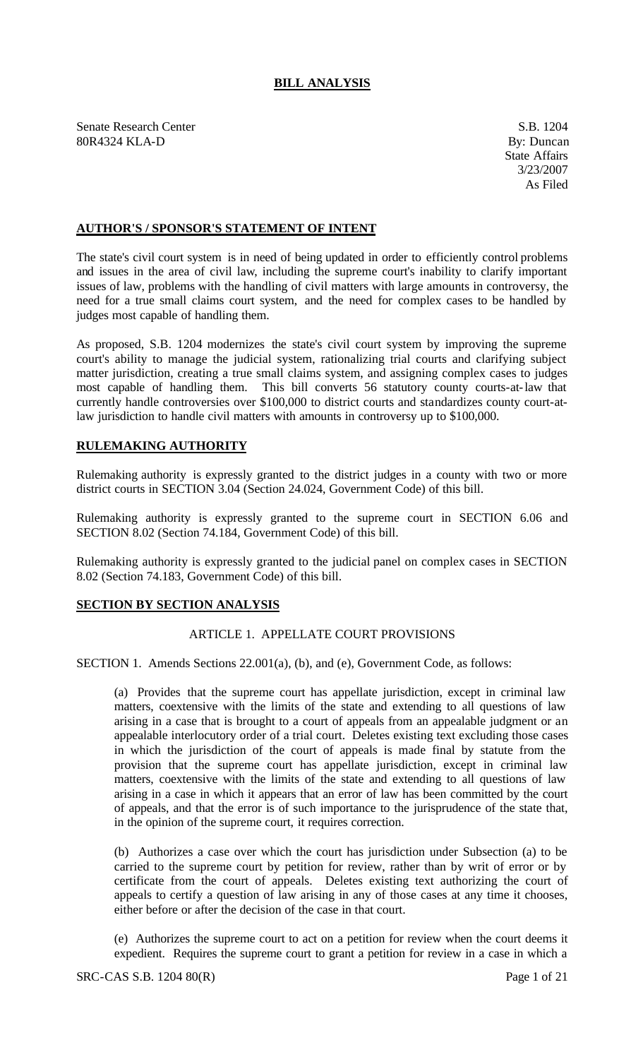# **BILL ANALYSIS**

Senate Research Center S.B. 1204 80R4324 KLA-D By: Duncan

# **AUTHOR'S / SPONSOR'S STATEMENT OF INTENT**

The state's civil court system is in need of being updated in order to efficiently control problems and issues in the area of civil law, including the supreme court's inability to clarify important issues of law, problems with the handling of civil matters with large amounts in controversy, the need for a true small claims court system, and the need for complex cases to be handled by judges most capable of handling them.

As proposed, S.B. 1204 modernizes the state's civil court system by improving the supreme court's ability to manage the judicial system, rationalizing trial courts and clarifying subject matter jurisdiction, creating a true small claims system, and assigning complex cases to judges most capable of handling them. This bill converts 56 statutory county courts-at-law that currently handle controversies over \$100,000 to district courts and standardizes county court-atlaw jurisdiction to handle civil matters with amounts in controversy up to \$100,000.

## **RULEMAKING AUTHORITY**

Rulemaking authority is expressly granted to the district judges in a county with two or more district courts in SECTION 3.04 (Section 24.024, Government Code) of this bill.

Rulemaking authority is expressly granted to the supreme court in SECTION 6.06 and SECTION 8.02 (Section 74.184, Government Code) of this bill.

Rulemaking authority is expressly granted to the judicial panel on complex cases in SECTION 8.02 (Section 74.183, Government Code) of this bill.

## **SECTION BY SECTION ANALYSIS**

# ARTICLE 1. APPELLATE COURT PROVISIONS

SECTION 1. Amends Sections 22.001(a), (b), and (e), Government Code, as follows:

(a) Provides that the supreme court has appellate jurisdiction, except in criminal law matters, coextensive with the limits of the state and extending to all questions of law arising in a case that is brought to a court of appeals from an appealable judgment or an appealable interlocutory order of a trial court. Deletes existing text excluding those cases in which the jurisdiction of the court of appeals is made final by statute from the provision that the supreme court has appellate jurisdiction, except in criminal law matters, coextensive with the limits of the state and extending to all questions of law arising in a case in which it appears that an error of law has been committed by the court of appeals, and that the error is of such importance to the jurisprudence of the state that, in the opinion of the supreme court, it requires correction.

(b) Authorizes a case over which the court has jurisdiction under Subsection (a) to be carried to the supreme court by petition for review, rather than by writ of error or by certificate from the court of appeals. Deletes existing text authorizing the court of appeals to certify a question of law arising in any of those cases at any time it chooses, either before or after the decision of the case in that court.

(e) Authorizes the supreme court to act on a petition for review when the court deems it expedient. Requires the supreme court to grant a petition for review in a case in which a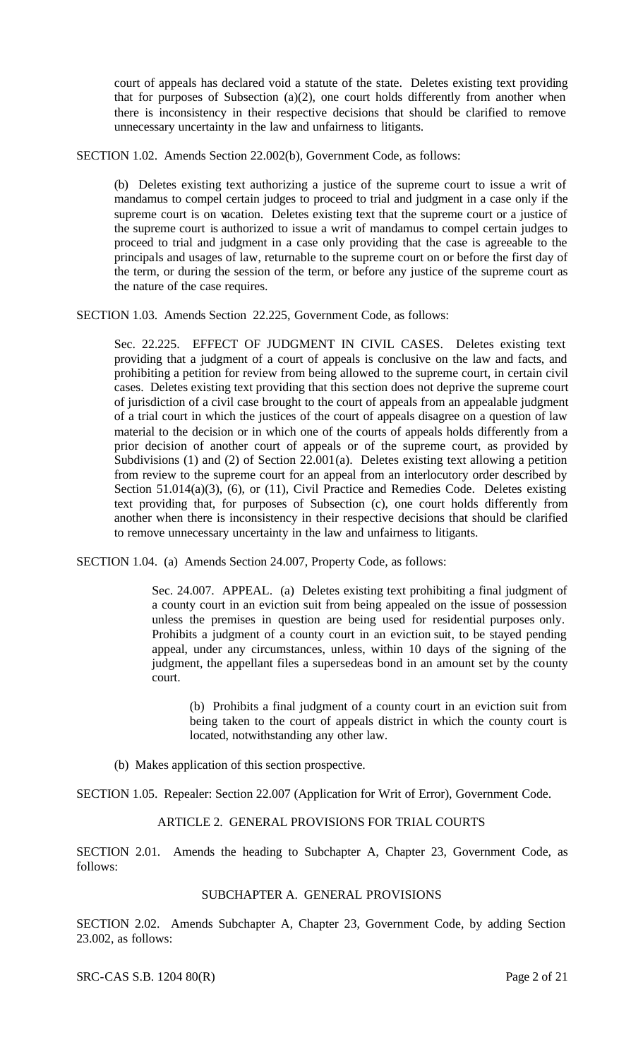court of appeals has declared void a statute of the state. Deletes existing text providing that for purposes of Subsection (a)(2), one court holds differently from another when there is inconsistency in their respective decisions that should be clarified to remove unnecessary uncertainty in the law and unfairness to litigants.

SECTION 1.02. Amends Section 22.002(b), Government Code, as follows:

(b) Deletes existing text authorizing a justice of the supreme court to issue a writ of mandamus to compel certain judges to proceed to trial and judgment in a case only if the supreme court is on vacation. Deletes existing text that the supreme court or a justice of the supreme court is authorized to issue a writ of mandamus to compel certain judges to proceed to trial and judgment in a case only providing that the case is agreeable to the principals and usages of law, returnable to the supreme court on or before the first day of the term, or during the session of the term, or before any justice of the supreme court as the nature of the case requires.

SECTION 1.03. Amends Section 22.225, Government Code, as follows:

Sec. 22.225. EFFECT OF JUDGMENT IN CIVIL CASES. Deletes existing text providing that a judgment of a court of appeals is conclusive on the law and facts, and prohibiting a petition for review from being allowed to the supreme court, in certain civil cases. Deletes existing text providing that this section does not deprive the supreme court of jurisdiction of a civil case brought to the court of appeals from an appealable judgment of a trial court in which the justices of the court of appeals disagree on a question of law material to the decision or in which one of the courts of appeals holds differently from a prior decision of another court of appeals or of the supreme court, as provided by Subdivisions (1) and (2) of Section 22.001(a). Deletes existing text allowing a petition from review to the supreme court for an appeal from an interlocutory order described by Section 51.014(a)(3), (6), or (11), Civil Practice and Remedies Code. Deletes existing text providing that, for purposes of Subsection (c), one court holds differently from another when there is inconsistency in their respective decisions that should be clarified to remove unnecessary uncertainty in the law and unfairness to litigants.

SECTION 1.04. (a) Amends Section 24.007, Property Code, as follows:

Sec. 24.007. APPEAL. (a) Deletes existing text prohibiting a final judgment of a county court in an eviction suit from being appealed on the issue of possession unless the premises in question are being used for residential purposes only. Prohibits a judgment of a county court in an eviction suit, to be stayed pending appeal, under any circumstances, unless, within 10 days of the signing of the judgment, the appellant files a supersedeas bond in an amount set by the county court.

(b) Prohibits a final judgment of a county court in an eviction suit from being taken to the court of appeals district in which the county court is located, notwithstanding any other law.

(b) Makes application of this section prospective.

SECTION 1.05. Repealer: Section 22.007 (Application for Writ of Error), Government Code.

# ARTICLE 2. GENERAL PROVISIONS FOR TRIAL COURTS

SECTION 2.01. Amends the heading to Subchapter A, Chapter 23, Government Code, as follows:

## SUBCHAPTER A. GENERAL PROVISIONS

SECTION 2.02. Amends Subchapter A, Chapter 23, Government Code, by adding Section 23.002, as follows:

SRC-CAS S.B. 1204 80(R) Page 2 of 21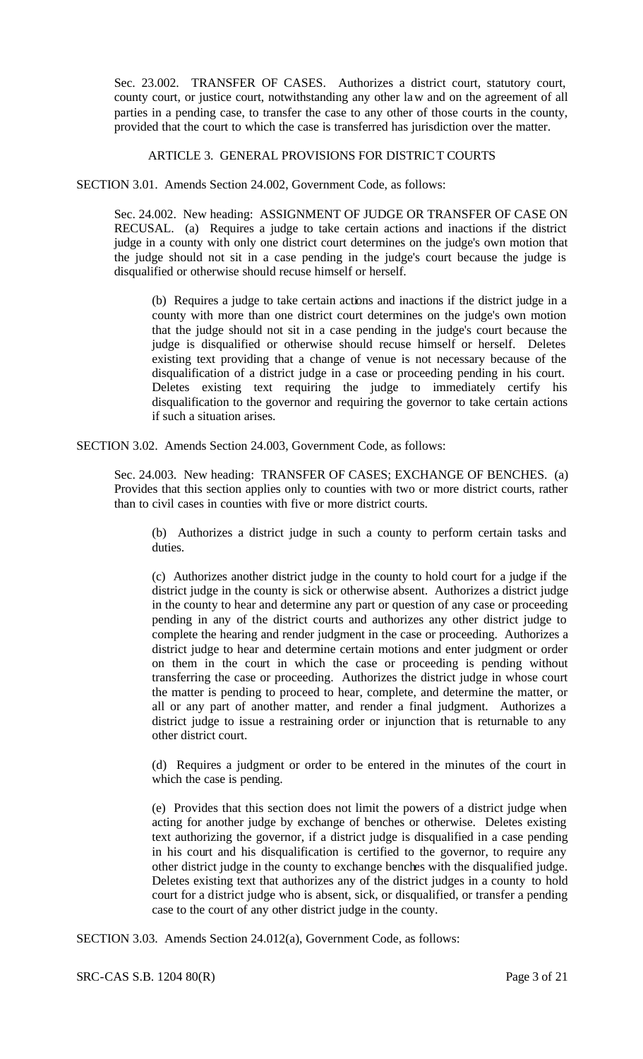Sec. 23.002. TRANSFER OF CASES. Authorizes a district court, statutory court, county court, or justice court, notwithstanding any other law and on the agreement of all parties in a pending case, to transfer the case to any other of those courts in the county, provided that the court to which the case is transferred has jurisdiction over the matter.

#### ARTICLE 3. GENERAL PROVISIONS FOR DISTRICT COURTS

SECTION 3.01. Amends Section 24.002, Government Code, as follows:

Sec. 24.002. New heading: ASSIGNMENT OF JUDGE OR TRANSFER OF CASE ON RECUSAL. (a) Requires a judge to take certain actions and inactions if the district judge in a county with only one district court determines on the judge's own motion that the judge should not sit in a case pending in the judge's court because the judge is disqualified or otherwise should recuse himself or herself.

(b) Requires a judge to take certain actions and inactions if the district judge in a county with more than one district court determines on the judge's own motion that the judge should not sit in a case pending in the judge's court because the judge is disqualified or otherwise should recuse himself or herself. Deletes existing text providing that a change of venue is not necessary because of the disqualification of a district judge in a case or proceeding pending in his court. Deletes existing text requiring the judge to immediately certify his disqualification to the governor and requiring the governor to take certain actions if such a situation arises.

SECTION 3.02. Amends Section 24.003, Government Code, as follows:

Sec. 24.003. New heading: TRANSFER OF CASES; EXCHANGE OF BENCHES. (a) Provides that this section applies only to counties with two or more district courts, rather than to civil cases in counties with five or more district courts.

(b) Authorizes a district judge in such a county to perform certain tasks and duties.

(c) Authorizes another district judge in the county to hold court for a judge if the district judge in the county is sick or otherwise absent. Authorizes a district judge in the county to hear and determine any part or question of any case or proceeding pending in any of the district courts and authorizes any other district judge to complete the hearing and render judgment in the case or proceeding. Authorizes a district judge to hear and determine certain motions and enter judgment or order on them in the court in which the case or proceeding is pending without transferring the case or proceeding. Authorizes the district judge in whose court the matter is pending to proceed to hear, complete, and determine the matter, or all or any part of another matter, and render a final judgment. Authorizes a district judge to issue a restraining order or injunction that is returnable to any other district court.

(d) Requires a judgment or order to be entered in the minutes of the court in which the case is pending.

(e) Provides that this section does not limit the powers of a district judge when acting for another judge by exchange of benches or otherwise. Deletes existing text authorizing the governor, if a district judge is disqualified in a case pending in his court and his disqualification is certified to the governor, to require any other district judge in the county to exchange benches with the disqualified judge. Deletes existing text that authorizes any of the district judges in a county to hold court for a district judge who is absent, sick, or disqualified, or transfer a pending case to the court of any other district judge in the county.

SECTION 3.03. Amends Section 24.012(a), Government Code, as follows: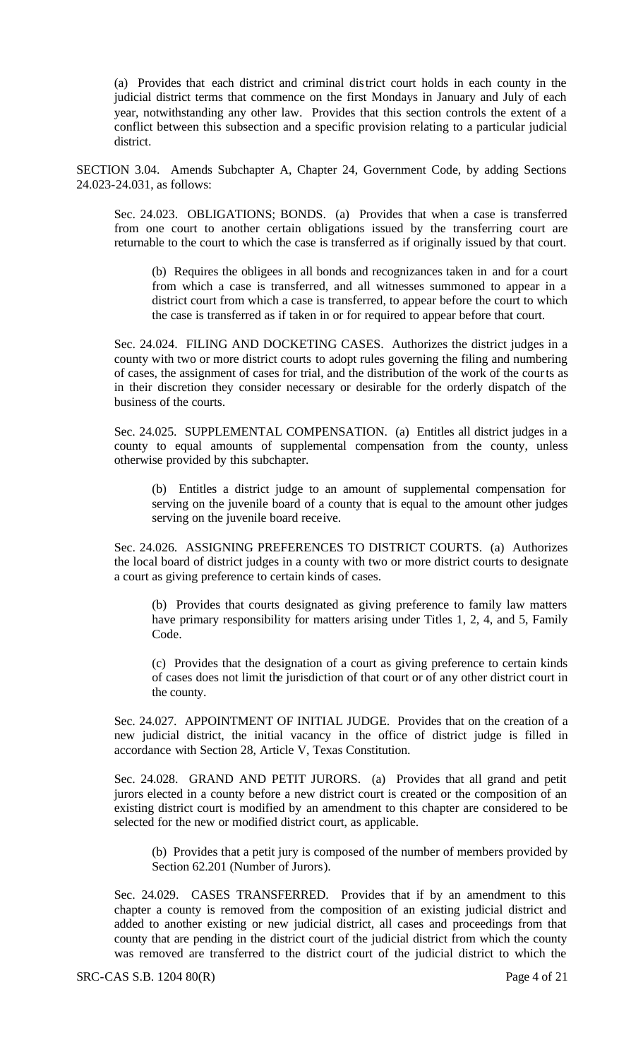(a) Provides that each district and criminal district court holds in each county in the judicial district terms that commence on the first Mondays in January and July of each year, notwithstanding any other law. Provides that this section controls the extent of a conflict between this subsection and a specific provision relating to a particular judicial district.

SECTION 3.04. Amends Subchapter A, Chapter 24, Government Code, by adding Sections 24.023-24.031, as follows:

Sec. 24.023. OBLIGATIONS; BONDS. (a) Provides that when a case is transferred from one court to another certain obligations issued by the transferring court are returnable to the court to which the case is transferred as if originally issued by that court.

(b) Requires the obligees in all bonds and recognizances taken in and for a court from which a case is transferred, and all witnesses summoned to appear in a district court from which a case is transferred, to appear before the court to which the case is transferred as if taken in or for required to appear before that court.

Sec. 24.024. FILING AND DOCKETING CASES. Authorizes the district judges in a county with two or more district courts to adopt rules governing the filing and numbering of cases, the assignment of cases for trial, and the distribution of the work of the courts as in their discretion they consider necessary or desirable for the orderly dispatch of the business of the courts.

Sec. 24.025. SUPPLEMENTAL COMPENSATION. (a) Entitles all district judges in a county to equal amounts of supplemental compensation from the county, unless otherwise provided by this subchapter.

(b) Entitles a district judge to an amount of supplemental compensation for serving on the juvenile board of a county that is equal to the amount other judges serving on the juvenile board receive.

Sec. 24.026. ASSIGNING PREFERENCES TO DISTRICT COURTS. (a) Authorizes the local board of district judges in a county with two or more district courts to designate a court as giving preference to certain kinds of cases.

(b) Provides that courts designated as giving preference to family law matters have primary responsibility for matters arising under Titles 1, 2, 4, and 5, Family Code.

(c) Provides that the designation of a court as giving preference to certain kinds of cases does not limit the jurisdiction of that court or of any other district court in the county.

Sec. 24.027. APPOINTMENT OF INITIAL JUDGE. Provides that on the creation of a new judicial district, the initial vacancy in the office of district judge is filled in accordance with Section 28, Article V, Texas Constitution.

Sec. 24.028. GRAND AND PETIT JURORS. (a) Provides that all grand and petit jurors elected in a county before a new district court is created or the composition of an existing district court is modified by an amendment to this chapter are considered to be selected for the new or modified district court, as applicable.

(b) Provides that a petit jury is composed of the number of members provided by Section 62.201 (Number of Jurors).

Sec. 24.029. CASES TRANSFERRED. Provides that if by an amendment to this chapter a county is removed from the composition of an existing judicial district and added to another existing or new judicial district, all cases and proceedings from that county that are pending in the district court of the judicial district from which the county was removed are transferred to the district court of the judicial district to which the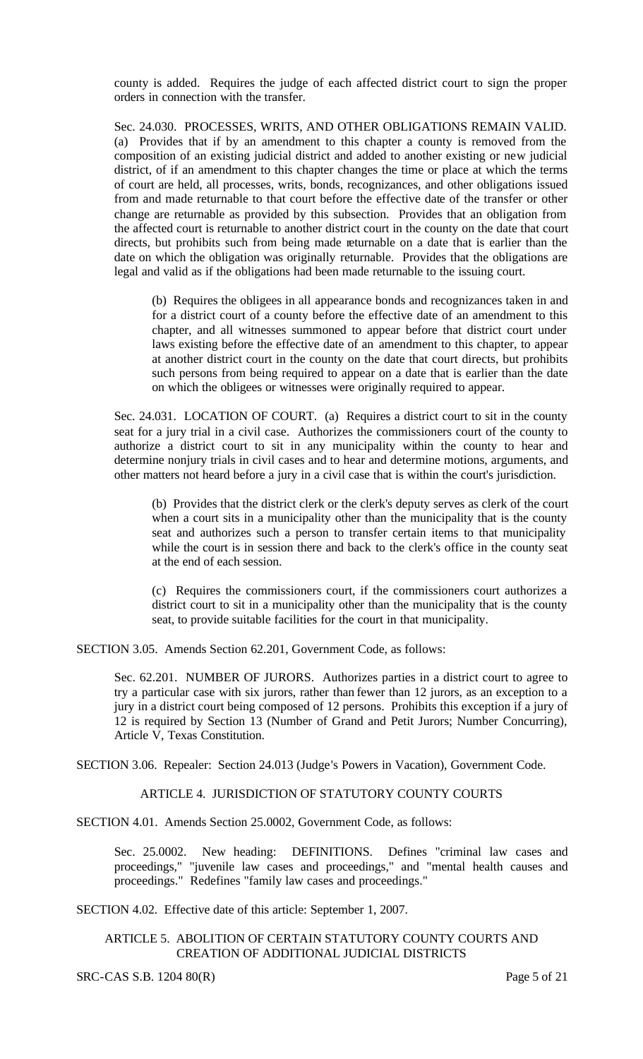county is added. Requires the judge of each affected district court to sign the proper orders in connection with the transfer.

Sec. 24.030. PROCESSES, WRITS, AND OTHER OBLIGATIONS REMAIN VALID. (a) Provides that if by an amendment to this chapter a county is removed from the composition of an existing judicial district and added to another existing or new judicial district, of if an amendment to this chapter changes the time or place at which the terms of court are held, all processes, writs, bonds, recognizances, and other obligations issued from and made returnable to that court before the effective date of the transfer or other change are returnable as provided by this subsection. Provides that an obligation from the affected court is returnable to another district court in the county on the date that court directs, but prohibits such from being made returnable on a date that is earlier than the date on which the obligation was originally returnable. Provides that the obligations are legal and valid as if the obligations had been made returnable to the issuing court.

(b) Requires the obligees in all appearance bonds and recognizances taken in and for a district court of a county before the effective date of an amendment to this chapter, and all witnesses summoned to appear before that district court under laws existing before the effective date of an amendment to this chapter, to appear at another district court in the county on the date that court directs, but prohibits such persons from being required to appear on a date that is earlier than the date on which the obligees or witnesses were originally required to appear.

Sec. 24.031. LOCATION OF COURT. (a) Requires a district court to sit in the county seat for a jury trial in a civil case. Authorizes the commissioners court of the county to authorize a district court to sit in any municipality within the county to hear and determine nonjury trials in civil cases and to hear and determine motions, arguments, and other matters not heard before a jury in a civil case that is within the court's jurisdiction.

(b) Provides that the district clerk or the clerk's deputy serves as clerk of the court when a court sits in a municipality other than the municipality that is the county seat and authorizes such a person to transfer certain items to that municipality while the court is in session there and back to the clerk's office in the county seat at the end of each session.

(c) Requires the commissioners court, if the commissioners court authorizes a district court to sit in a municipality other than the municipality that is the county seat, to provide suitable facilities for the court in that municipality.

SECTION 3.05. Amends Section 62.201, Government Code, as follows:

Sec. 62.201. NUMBER OF JURORS. Authorizes parties in a district court to agree to try a particular case with six jurors, rather than fewer than 12 jurors, as an exception to a jury in a district court being composed of 12 persons. Prohibits this exception if a jury of 12 is required by Section 13 (Number of Grand and Petit Jurors; Number Concurring), Article V, Texas Constitution.

SECTION 3.06. Repealer: Section 24.013 (Judge's Powers in Vacation), Government Code.

# ARTICLE 4. JURISDICTION OF STATUTORY COUNTY COURTS

SECTION 4.01. Amends Section 25.0002, Government Code, as follows:

Sec. 25.0002. New heading: DEFINITIONS. Defines "criminal law cases and proceedings," "juvenile law cases and proceedings," and "mental health causes and proceedings." Redefines "family law cases and proceedings."

SECTION 4.02. Effective date of this article: September 1, 2007.

### ARTICLE 5. ABOLITION OF CERTAIN STATUTORY COUNTY COURTS AND CREATION OF ADDITIONAL JUDICIAL DISTRICTS

SRC-CAS S.B. 1204 80(R) Page 5 of 21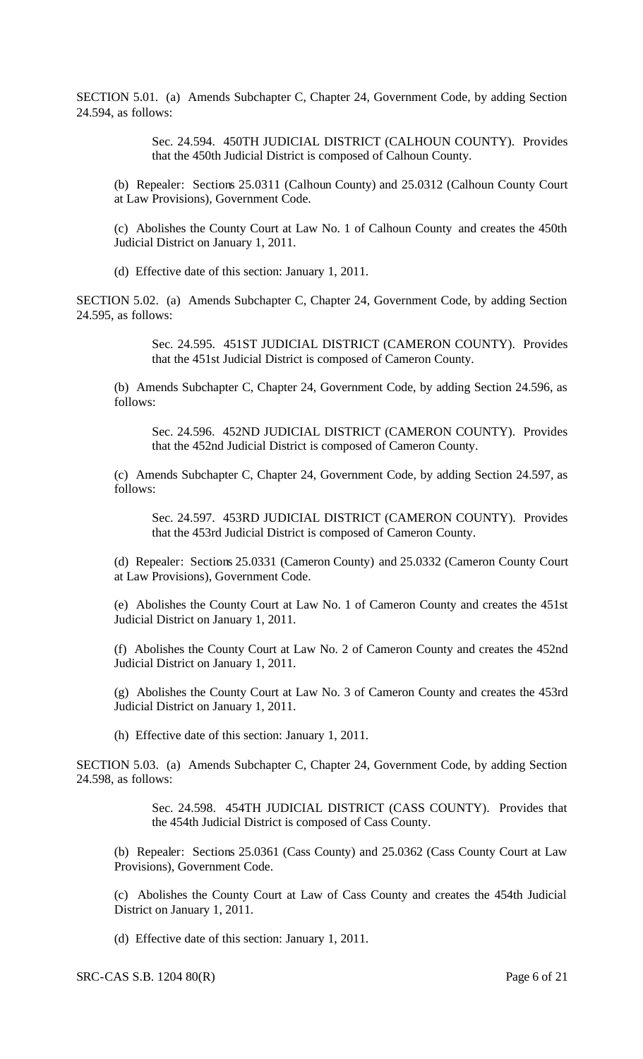SECTION 5.01. (a) Amends Subchapter C, Chapter 24, Government Code, by adding Section 24.594, as follows:

> Sec. 24.594. 450TH JUDICIAL DISTRICT (CALHOUN COUNTY). Provides that the 450th Judicial District is composed of Calhoun County.

(b) Repealer: Sections 25.0311 (Calhoun County) and 25.0312 (Calhoun County Court at Law Provisions), Government Code.

(c) Abolishes the County Court at Law No. 1 of Calhoun County and creates the 450th Judicial District on January 1, 2011.

(d) Effective date of this section: January 1, 2011.

SECTION 5.02. (a) Amends Subchapter C, Chapter 24, Government Code, by adding Section 24.595, as follows:

> Sec. 24.595. 451ST JUDICIAL DISTRICT (CAMERON COUNTY). Provides that the 451st Judicial District is composed of Cameron County.

(b) Amends Subchapter C, Chapter 24, Government Code, by adding Section 24.596, as follows:

Sec. 24.596. 452ND JUDICIAL DISTRICT (CAMERON COUNTY). Provides that the 452nd Judicial District is composed of Cameron County.

(c) Amends Subchapter C, Chapter 24, Government Code, by adding Section 24.597, as follows:

Sec. 24.597. 453RD JUDICIAL DISTRICT (CAMERON COUNTY). Provides that the 453rd Judicial District is composed of Cameron County.

(d) Repealer: Sections 25.0331 (Cameron County) and 25.0332 (Cameron County Court at Law Provisions), Government Code.

(e) Abolishes the County Court at Law No. 1 of Cameron County and creates the 451st Judicial District on January 1, 2011.

(f) Abolishes the County Court at Law No. 2 of Cameron County and creates the 452nd Judicial District on January 1, 2011.

(g) Abolishes the County Court at Law No. 3 of Cameron County and creates the 453rd Judicial District on January 1, 2011.

(h) Effective date of this section: January 1, 2011.

SECTION 5.03. (a) Amends Subchapter C, Chapter 24, Government Code, by adding Section 24.598, as follows:

> Sec. 24.598. 454TH JUDICIAL DISTRICT (CASS COUNTY). Provides that the 454th Judicial District is composed of Cass County.

(b) Repealer: Sections 25.0361 (Cass County) and 25.0362 (Cass County Court at Law Provisions), Government Code.

(c) Abolishes the County Court at Law of Cass County and creates the 454th Judicial District on January 1, 2011.

(d) Effective date of this section: January 1, 2011.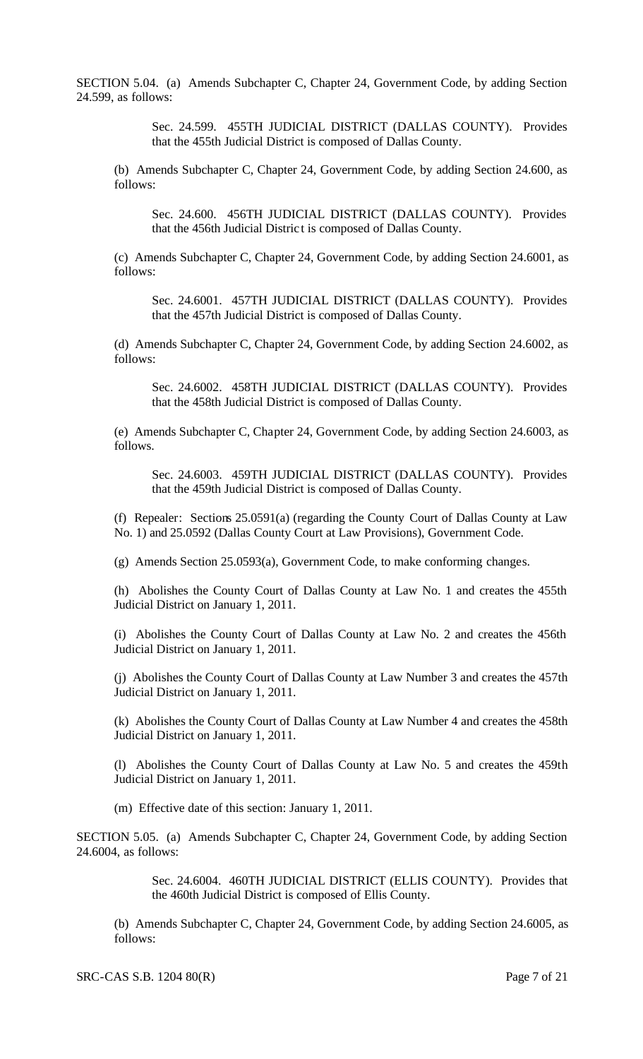SECTION 5.04. (a) Amends Subchapter C, Chapter 24, Government Code, by adding Section 24.599, as follows:

> Sec. 24.599. 455TH JUDICIAL DISTRICT (DALLAS COUNTY). Provides that the 455th Judicial District is composed of Dallas County.

(b) Amends Subchapter C, Chapter 24, Government Code, by adding Section 24.600, as follows:

Sec. 24.600. 456TH JUDICIAL DISTRICT (DALLAS COUNTY). Provides that the 456th Judicial Distric t is composed of Dallas County.

(c) Amends Subchapter C, Chapter 24, Government Code, by adding Section 24.6001, as follows:

Sec. 24.6001. 457TH JUDICIAL DISTRICT (DALLAS COUNTY). Provides that the 457th Judicial District is composed of Dallas County.

(d) Amends Subchapter C, Chapter 24, Government Code, by adding Section 24.6002, as follows:

Sec. 24.6002. 458TH JUDICIAL DISTRICT (DALLAS COUNTY). Provides that the 458th Judicial District is composed of Dallas County.

(e) Amends Subchapter C, Chapter 24, Government Code, by adding Section 24.6003, as follows.

Sec. 24.6003. 459TH JUDICIAL DISTRICT (DALLAS COUNTY). Provides that the 459th Judicial District is composed of Dallas County.

(f) Repealer: Sections 25.0591(a) (regarding the County Court of Dallas County at Law No. 1) and 25.0592 (Dallas County Court at Law Provisions), Government Code.

(g) Amends Section 25.0593(a), Government Code, to make conforming changes.

(h) Abolishes the County Court of Dallas County at Law No. 1 and creates the 455th Judicial District on January 1, 2011.

(i) Abolishes the County Court of Dallas County at Law No. 2 and creates the 456th Judicial District on January 1, 2011.

(j) Abolishes the County Court of Dallas County at Law Number 3 and creates the 457th Judicial District on January 1, 2011.

(k) Abolishes the County Court of Dallas County at Law Number 4 and creates the 458th Judicial District on January 1, 2011.

(l) Abolishes the County Court of Dallas County at Law No. 5 and creates the 459th Judicial District on January 1, 2011.

(m) Effective date of this section: January 1, 2011.

SECTION 5.05. (a) Amends Subchapter C, Chapter 24, Government Code, by adding Section 24.6004, as follows:

> Sec. 24.6004. 460TH JUDICIAL DISTRICT (ELLIS COUNTY). Provides that the 460th Judicial District is composed of Ellis County.

(b) Amends Subchapter C, Chapter 24, Government Code, by adding Section 24.6005, as follows: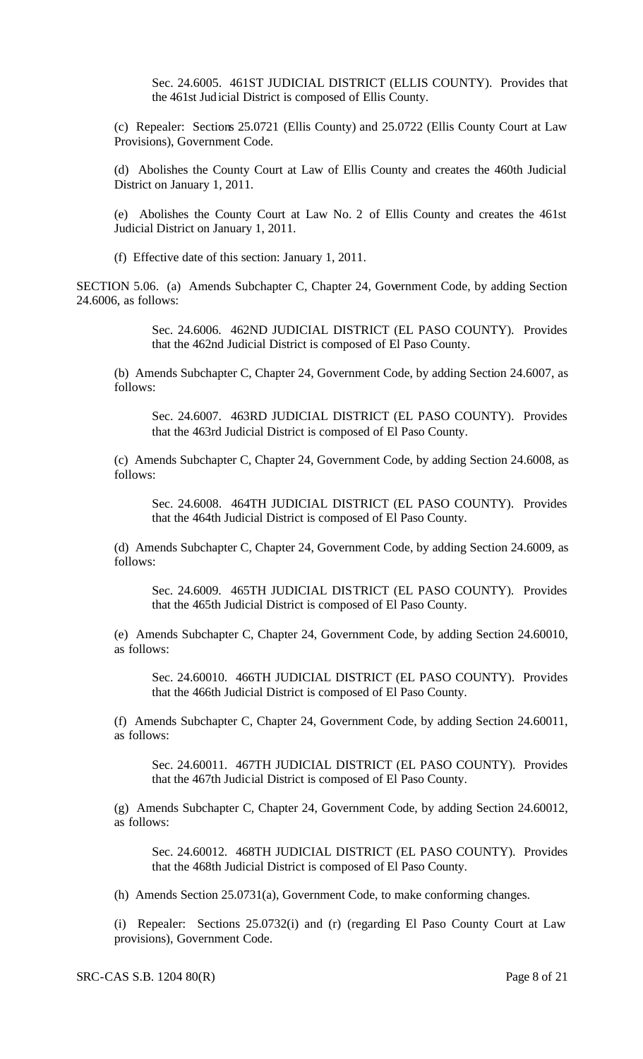Sec. 24.6005. 461ST JUDICIAL DISTRICT (ELLIS COUNTY). Provides that the 461st Judicial District is composed of Ellis County.

(c) Repealer: Sections 25.0721 (Ellis County) and 25.0722 (Ellis County Court at Law Provisions), Government Code.

(d) Abolishes the County Court at Law of Ellis County and creates the 460th Judicial District on January 1, 2011.

(e) Abolishes the County Court at Law No. 2 of Ellis County and creates the 461st Judicial District on January 1, 2011.

(f) Effective date of this section: January 1, 2011.

SECTION 5.06. (a) Amends Subchapter C, Chapter 24, Government Code, by adding Section 24.6006, as follows:

> Sec. 24.6006. 462ND JUDICIAL DISTRICT (EL PASO COUNTY). Provides that the 462nd Judicial District is composed of El Paso County.

(b) Amends Subchapter C, Chapter 24, Government Code, by adding Section 24.6007, as follows:

Sec. 24.6007. 463RD JUDICIAL DISTRICT (EL PASO COUNTY). Provides that the 463rd Judicial District is composed of El Paso County.

(c) Amends Subchapter C, Chapter 24, Government Code, by adding Section 24.6008, as follows:

Sec. 24.6008. 464TH JUDICIAL DISTRICT (EL PASO COUNTY). Provides that the 464th Judicial District is composed of El Paso County.

(d) Amends Subchapter C, Chapter 24, Government Code, by adding Section 24.6009, as follows:

Sec. 24.6009. 465TH JUDICIAL DISTRICT (EL PASO COUNTY). Provides that the 465th Judicial District is composed of El Paso County.

(e) Amends Subchapter C, Chapter 24, Government Code, by adding Section 24.60010, as follows:

Sec. 24.60010. 466TH JUDICIAL DISTRICT (EL PASO COUNTY). Provides that the 466th Judicial District is composed of El Paso County.

(f) Amends Subchapter C, Chapter 24, Government Code, by adding Section 24.60011, as follows:

Sec. 24.60011. 467TH JUDICIAL DISTRICT (EL PASO COUNTY). Provides that the 467th Judicial District is composed of El Paso County.

(g) Amends Subchapter C, Chapter 24, Government Code, by adding Section 24.60012, as follows:

Sec. 24.60012. 468TH JUDICIAL DISTRICT (EL PASO COUNTY). Provides that the 468th Judicial District is composed of El Paso County.

(h) Amends Section 25.0731(a), Government Code, to make conforming changes.

(i) Repealer: Sections 25.0732(i) and (r) (regarding El Paso County Court at Law provisions), Government Code.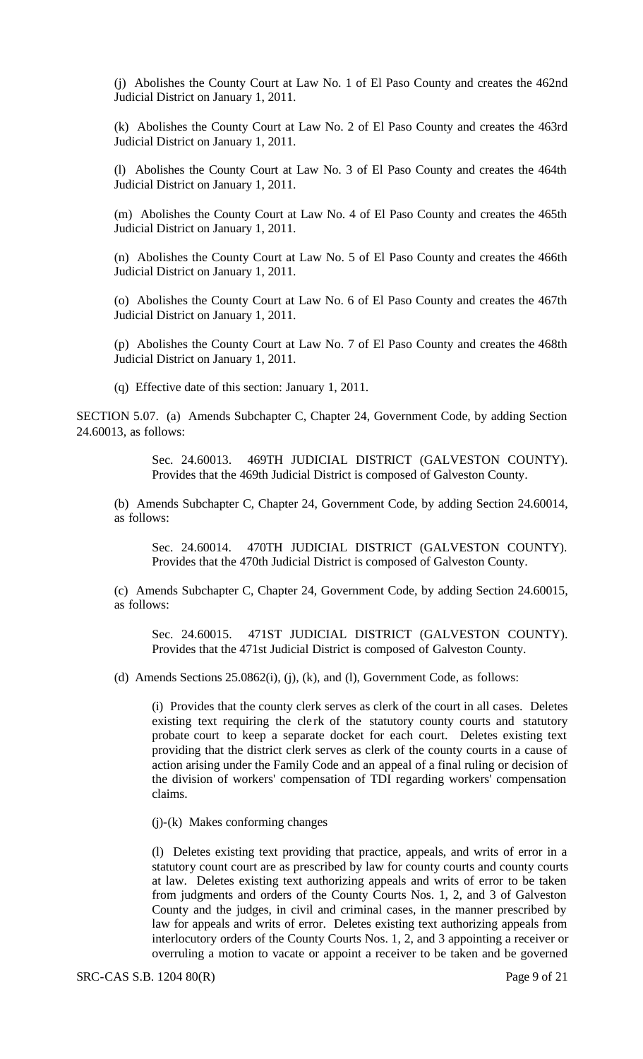(j) Abolishes the County Court at Law No. 1 of El Paso County and creates the 462nd Judicial District on January 1, 2011.

(k) Abolishes the County Court at Law No. 2 of El Paso County and creates the 463rd Judicial District on January 1, 2011.

(l) Abolishes the County Court at Law No. 3 of El Paso County and creates the 464th Judicial District on January 1, 2011.

(m) Abolishes the County Court at Law No. 4 of El Paso County and creates the 465th Judicial District on January 1, 2011.

(n) Abolishes the County Court at Law No. 5 of El Paso County and creates the 466th Judicial District on January 1, 2011.

(o) Abolishes the County Court at Law No. 6 of El Paso County and creates the 467th Judicial District on January 1, 2011.

(p) Abolishes the County Court at Law No. 7 of El Paso County and creates the 468th Judicial District on January 1, 2011.

(q) Effective date of this section: January 1, 2011.

SECTION 5.07. (a) Amends Subchapter C, Chapter 24, Government Code, by adding Section 24.60013, as follows:

> Sec. 24.60013. 469TH JUDICIAL DISTRICT (GALVESTON COUNTY). Provides that the 469th Judicial District is composed of Galveston County.

(b) Amends Subchapter C, Chapter 24, Government Code, by adding Section 24.60014, as follows:

Sec. 24.60014. 470TH JUDICIAL DISTRICT (GALVESTON COUNTY). Provides that the 470th Judicial District is composed of Galveston County.

(c) Amends Subchapter C, Chapter 24, Government Code, by adding Section 24.60015, as follows:

Sec. 24.60015. 471ST JUDICIAL DISTRICT (GALVESTON COUNTY). Provides that the 471st Judicial District is composed of Galveston County.

(d) Amends Sections  $25.0862(i)$ , (i), (k), and (l), Government Code, as follows:

(i) Provides that the county clerk serves as clerk of the court in all cases. Deletes existing text requiring the clerk of the statutory county courts and statutory probate court to keep a separate docket for each court. Deletes existing text providing that the district clerk serves as clerk of the county courts in a cause of action arising under the Family Code and an appeal of a final ruling or decision of the division of workers' compensation of TDI regarding workers' compensation claims.

(j)-(k) Makes conforming changes

(l) Deletes existing text providing that practice, appeals, and writs of error in a statutory count court are as prescribed by law for county courts and county courts at law. Deletes existing text authorizing appeals and writs of error to be taken from judgments and orders of the County Courts Nos. 1, 2, and 3 of Galveston County and the judges, in civil and criminal cases, in the manner prescribed by law for appeals and writs of error. Deletes existing text authorizing appeals from interlocutory orders of the County Courts Nos. 1, 2, and 3 appointing a receiver or overruling a motion to vacate or appoint a receiver to be taken and be governed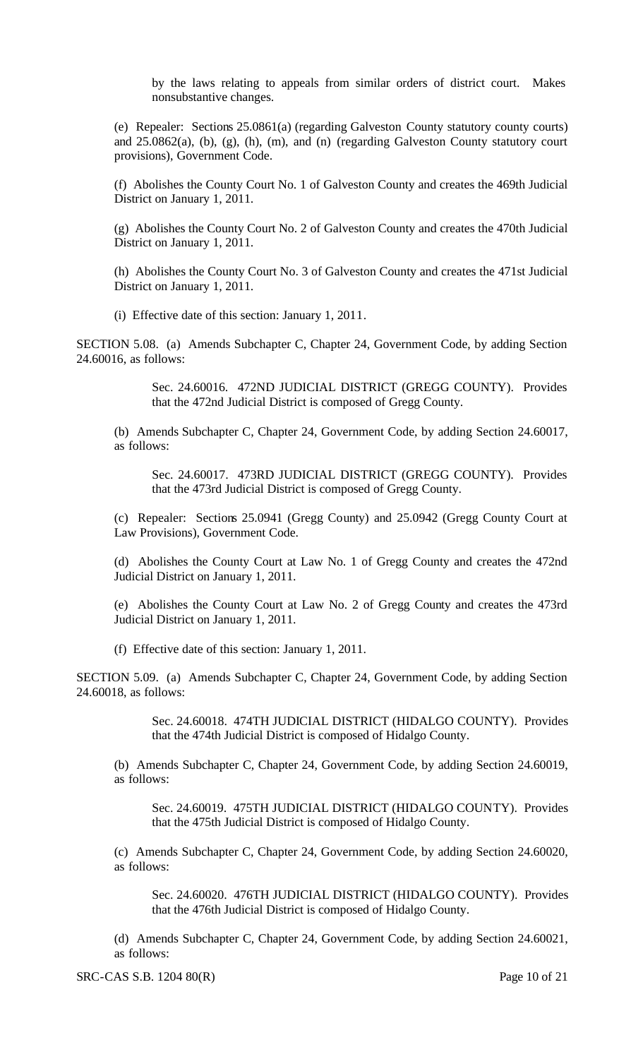by the laws relating to appeals from similar orders of district court. Makes nonsubstantive changes.

(e) Repealer: Sections 25.0861(a) (regarding Galveston County statutory county courts) and 25.0862(a), (b), (g), (h), (m), and (n) (regarding Galveston County statutory court provisions), Government Code.

(f) Abolishes the County Court No. 1 of Galveston County and creates the 469th Judicial District on January 1, 2011.

(g) Abolishes the County Court No. 2 of Galveston County and creates the 470th Judicial District on January 1, 2011.

(h) Abolishes the County Court No. 3 of Galveston County and creates the 471st Judicial District on January 1, 2011.

(i) Effective date of this section: January 1, 2011.

SECTION 5.08. (a) Amends Subchapter C, Chapter 24, Government Code, by adding Section 24.60016, as follows:

> Sec. 24.60016. 472ND JUDICIAL DISTRICT (GREGG COUNTY). Provides that the 472nd Judicial District is composed of Gregg County.

(b) Amends Subchapter C, Chapter 24, Government Code, by adding Section 24.60017, as follows:

Sec. 24.60017. 473RD JUDICIAL DISTRICT (GREGG COUNTY). Provides that the 473rd Judicial District is composed of Gregg County.

(c) Repealer: Sections 25.0941 (Gregg County) and 25.0942 (Gregg County Court at Law Provisions), Government Code.

(d) Abolishes the County Court at Law No. 1 of Gregg County and creates the 472nd Judicial District on January 1, 2011.

(e) Abolishes the County Court at Law No. 2 of Gregg County and creates the 473rd Judicial District on January 1, 2011.

(f) Effective date of this section: January 1, 2011.

SECTION 5.09. (a) Amends Subchapter C, Chapter 24, Government Code, by adding Section 24.60018, as follows:

> Sec. 24.60018. 474TH JUDICIAL DISTRICT (HIDALGO COUNTY). Provides that the 474th Judicial District is composed of Hidalgo County.

(b) Amends Subchapter C, Chapter 24, Government Code, by adding Section 24.60019, as follows:

Sec. 24.60019. 475TH JUDICIAL DISTRICT (HIDALGO COUNTY). Provides that the 475th Judicial District is composed of Hidalgo County.

(c) Amends Subchapter C, Chapter 24, Government Code, by adding Section 24.60020, as follows:

Sec. 24.60020. 476TH JUDICIAL DISTRICT (HIDALGO COUNTY). Provides that the 476th Judicial District is composed of Hidalgo County.

(d) Amends Subchapter C, Chapter 24, Government Code, by adding Section 24.60021, as follows: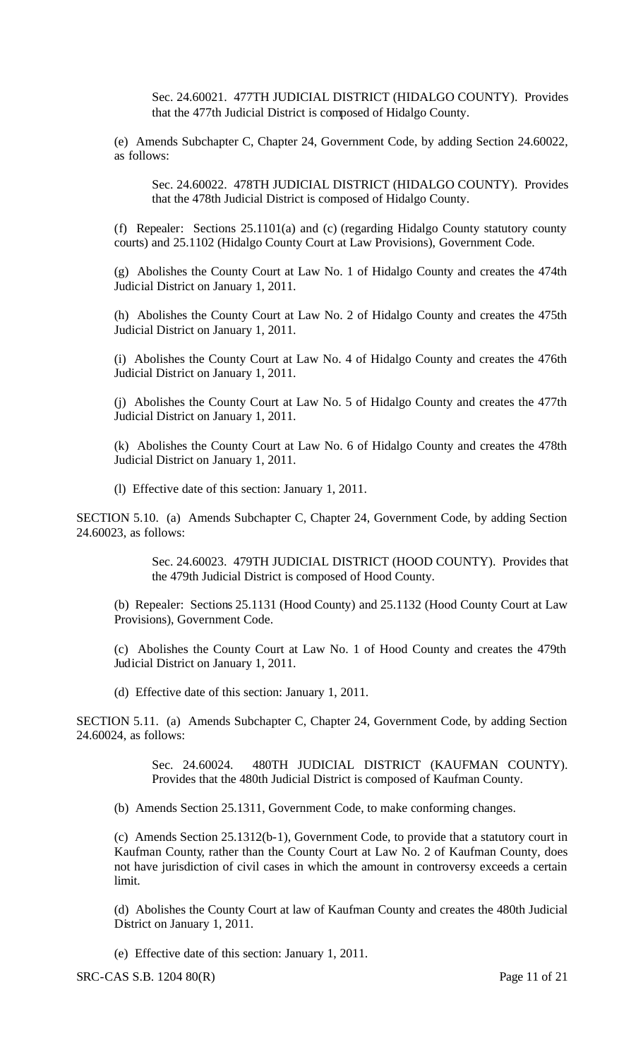Sec. 24.60021. 477TH JUDICIAL DISTRICT (HIDALGO COUNTY). Provides that the 477th Judicial District is composed of Hidalgo County.

(e) Amends Subchapter C, Chapter 24, Government Code, by adding Section 24.60022, as follows:

Sec. 24.60022. 478TH JUDICIAL DISTRICT (HIDALGO COUNTY). Provides that the 478th Judicial District is composed of Hidalgo County.

(f) Repealer: Sections 25.1101(a) and (c) (regarding Hidalgo County statutory county courts) and 25.1102 (Hidalgo County Court at Law Provisions), Government Code.

(g) Abolishes the County Court at Law No. 1 of Hidalgo County and creates the 474th Judicial District on January 1, 2011.

(h) Abolishes the County Court at Law No. 2 of Hidalgo County and creates the 475th Judicial District on January 1, 2011.

(i) Abolishes the County Court at Law No. 4 of Hidalgo County and creates the 476th Judicial District on January 1, 2011.

(j) Abolishes the County Court at Law No. 5 of Hidalgo County and creates the 477th Judicial District on January 1, 2011.

(k) Abolishes the County Court at Law No. 6 of Hidalgo County and creates the 478th Judicial District on January 1, 2011.

(l) Effective date of this section: January 1, 2011.

SECTION 5.10. (a) Amends Subchapter C, Chapter 24, Government Code, by adding Section 24.60023, as follows:

> Sec. 24.60023. 479TH JUDICIAL DISTRICT (HOOD COUNTY). Provides that the 479th Judicial District is composed of Hood County.

(b) Repealer: Sections 25.1131 (Hood County) and 25.1132 (Hood County Court at Law Provisions), Government Code.

(c) Abolishes the County Court at Law No. 1 of Hood County and creates the 479th Judicial District on January 1, 2011.

(d) Effective date of this section: January 1, 2011.

SECTION 5.11. (a) Amends Subchapter C, Chapter 24, Government Code, by adding Section 24.60024, as follows:

> Sec. 24.60024. 480TH JUDICIAL DISTRICT (KAUFMAN COUNTY). Provides that the 480th Judicial District is composed of Kaufman County.

(b) Amends Section 25.1311, Government Code, to make conforming changes.

(c) Amends Section 25.1312(b-1), Government Code, to provide that a statutory court in Kaufman County, rather than the County Court at Law No. 2 of Kaufman County, does not have jurisdiction of civil cases in which the amount in controversy exceeds a certain limit.

(d) Abolishes the County Court at law of Kaufman County and creates the 480th Judicial District on January 1, 2011.

(e) Effective date of this section: January 1, 2011.

SRC-CAS S.B. 1204 80(R) Page 11 of 21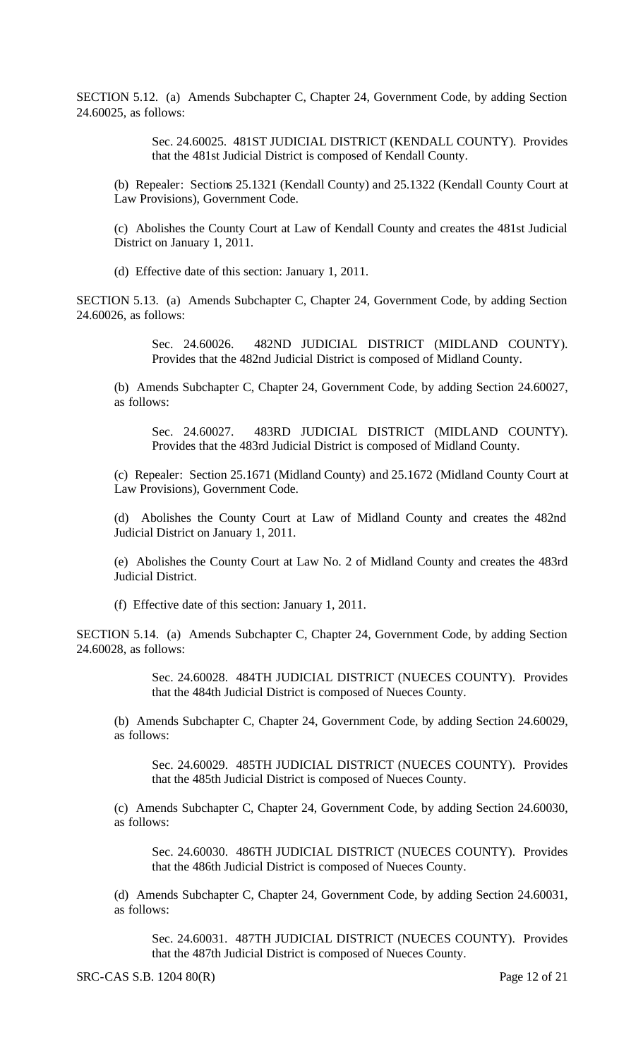SECTION 5.12. (a) Amends Subchapter C, Chapter 24, Government Code, by adding Section 24.60025, as follows:

> Sec. 24.60025. 481ST JUDICIAL DISTRICT (KENDALL COUNTY). Provides that the 481st Judicial District is composed of Kendall County.

(b) Repealer: Sections 25.1321 (Kendall County) and 25.1322 (Kendall County Court at Law Provisions), Government Code.

(c) Abolishes the County Court at Law of Kendall County and creates the 481st Judicial District on January 1, 2011.

(d) Effective date of this section: January 1, 2011.

SECTION 5.13. (a) Amends Subchapter C, Chapter 24, Government Code, by adding Section 24.60026, as follows:

> Sec. 24.60026. 482ND JUDICIAL DISTRICT (MIDLAND COUNTY). Provides that the 482nd Judicial District is composed of Midland County.

(b) Amends Subchapter C, Chapter 24, Government Code, by adding Section 24.60027, as follows:

Sec. 24.60027. 483RD JUDICIAL DISTRICT (MIDLAND COUNTY). Provides that the 483rd Judicial District is composed of Midland County.

(c) Repealer: Section 25.1671 (Midland County) and 25.1672 (Midland County Court at Law Provisions), Government Code.

(d) Abolishes the County Court at Law of Midland County and creates the 482nd Judicial District on January 1, 2011.

(e) Abolishes the County Court at Law No. 2 of Midland County and creates the 483rd Judicial District.

(f) Effective date of this section: January 1, 2011.

SECTION 5.14. (a) Amends Subchapter C, Chapter 24, Government Code, by adding Section 24.60028, as follows:

> Sec. 24.60028. 484TH JUDICIAL DISTRICT (NUECES COUNTY). Provides that the 484th Judicial District is composed of Nueces County.

(b) Amends Subchapter C, Chapter 24, Government Code, by adding Section 24.60029, as follows:

Sec. 24.60029. 485TH JUDICIAL DISTRICT (NUECES COUNTY). Provides that the 485th Judicial District is composed of Nueces County.

(c) Amends Subchapter C, Chapter 24, Government Code, by adding Section 24.60030, as follows:

Sec. 24.60030. 486TH JUDICIAL DISTRICT (NUECES COUNTY). Provides that the 486th Judicial District is composed of Nueces County.

(d) Amends Subchapter C, Chapter 24, Government Code, by adding Section 24.60031, as follows:

Sec. 24.60031. 487TH JUDICIAL DISTRICT (NUECES COUNTY). Provides that the 487th Judicial District is composed of Nueces County.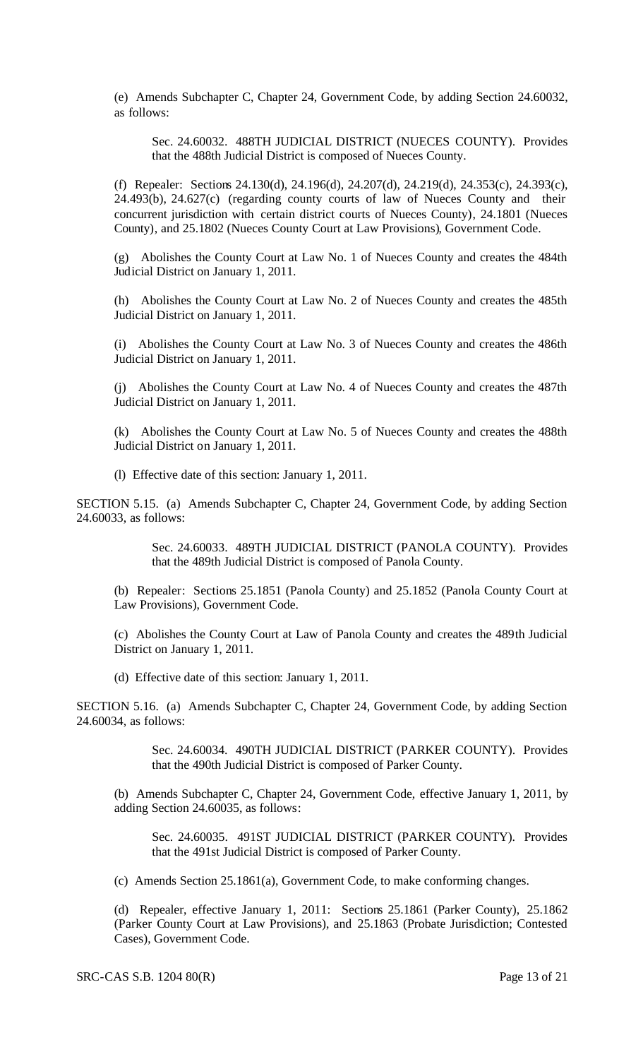(e) Amends Subchapter C, Chapter 24, Government Code, by adding Section 24.60032, as follows:

Sec. 24.60032. 488TH JUDICIAL DISTRICT (NUECES COUNTY). Provides that the 488th Judicial District is composed of Nueces County.

(f) Repealer: Sections 24.130(d), 24.196(d), 24.207(d), 24.219(d), 24.353(c), 24.393(c), 24.493(b), 24.627(c) (regarding county courts of law of Nueces County and their concurrent jurisdiction with certain district courts of Nueces County), 24.1801 (Nueces County), and 25.1802 (Nueces County Court at Law Provisions), Government Code.

(g) Abolishes the County Court at Law No. 1 of Nueces County and creates the 484th Judicial District on January 1, 2011.

(h) Abolishes the County Court at Law No. 2 of Nueces County and creates the 485th Judicial District on January 1, 2011.

(i) Abolishes the County Court at Law No. 3 of Nueces County and creates the 486th Judicial District on January 1, 2011.

(j) Abolishes the County Court at Law No. 4 of Nueces County and creates the 487th Judicial District on January 1, 2011.

(k) Abolishes the County Court at Law No. 5 of Nueces County and creates the 488th Judicial District on January 1, 2011.

(l) Effective date of this section: January 1, 2011.

SECTION 5.15. (a) Amends Subchapter C, Chapter 24, Government Code, by adding Section 24.60033, as follows:

> Sec. 24.60033. 489TH JUDICIAL DISTRICT (PANOLA COUNTY). Provides that the 489th Judicial District is composed of Panola County.

(b) Repealer: Sections 25.1851 (Panola County) and 25.1852 (Panola County Court at Law Provisions), Government Code.

(c) Abolishes the County Court at Law of Panola County and creates the 489th Judicial District on January 1, 2011.

(d) Effective date of this section: January 1, 2011.

SECTION 5.16. (a) Amends Subchapter C, Chapter 24, Government Code, by adding Section 24.60034, as follows:

> Sec. 24.60034. 490TH JUDICIAL DISTRICT (PARKER COUNTY). Provides that the 490th Judicial District is composed of Parker County.

(b) Amends Subchapter C, Chapter 24, Government Code, effective January 1, 2011, by adding Section 24.60035, as follows:

Sec. 24.60035. 491ST JUDICIAL DISTRICT (PARKER COUNTY). Provides that the 491st Judicial District is composed of Parker County.

(c) Amends Section 25.1861(a), Government Code, to make conforming changes.

(d) Repealer, effective January 1, 2011: Sections 25.1861 (Parker County), 25.1862 (Parker County Court at Law Provisions), and 25.1863 (Probate Jurisdiction; Contested Cases), Government Code.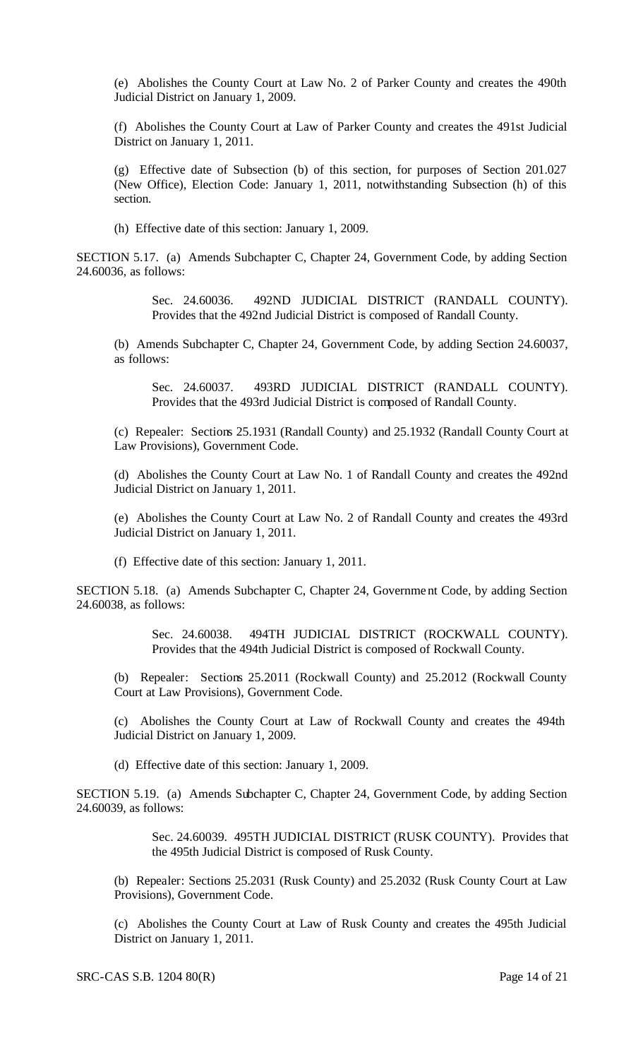(e) Abolishes the County Court at Law No. 2 of Parker County and creates the 490th Judicial District on January 1, 2009.

(f) Abolishes the County Court at Law of Parker County and creates the 491st Judicial District on January 1, 2011.

(g) Effective date of Subsection (b) of this section, for purposes of Section 201.027 (New Office), Election Code: January 1, 2011, notwithstanding Subsection (h) of this section.

(h) Effective date of this section: January 1, 2009.

SECTION 5.17. (a) Amends Subchapter C, Chapter 24, Government Code, by adding Section 24.60036, as follows:

> Sec. 24.60036. 492ND JUDICIAL DISTRICT (RANDALL COUNTY). Provides that the 492nd Judicial District is composed of Randall County.

(b) Amends Subchapter C, Chapter 24, Government Code, by adding Section 24.60037, as follows:

Sec. 24.60037. 493RD JUDICIAL DISTRICT (RANDALL COUNTY). Provides that the 493rd Judicial District is composed of Randall County.

(c) Repealer: Sections 25.1931 (Randall County) and 25.1932 (Randall County Court at Law Provisions), Government Code.

(d) Abolishes the County Court at Law No. 1 of Randall County and creates the 492nd Judicial District on January 1, 2011.

(e) Abolishes the County Court at Law No. 2 of Randall County and creates the 493rd Judicial District on January 1, 2011.

(f) Effective date of this section: January 1, 2011.

SECTION 5.18. (a) Amends Subchapter C, Chapter 24, Government Code, by adding Section 24.60038, as follows:

> Sec. 24.60038. 494TH JUDICIAL DISTRICT (ROCKWALL COUNTY). Provides that the 494th Judicial District is composed of Rockwall County.

(b) Repealer: Sections 25.2011 (Rockwall County) and 25.2012 (Rockwall County Court at Law Provisions), Government Code.

(c) Abolishes the County Court at Law of Rockwall County and creates the 494th Judicial District on January 1, 2009.

(d) Effective date of this section: January 1, 2009.

SECTION 5.19. (a) Amends Subchapter C, Chapter 24, Government Code, by adding Section 24.60039, as follows:

> Sec. 24.60039. 495TH JUDICIAL DISTRICT (RUSK COUNTY). Provides that the 495th Judicial District is composed of Rusk County.

(b) Repealer: Sections 25.2031 (Rusk County) and 25.2032 (Rusk County Court at Law Provisions), Government Code.

(c) Abolishes the County Court at Law of Rusk County and creates the 495th Judicial District on January 1, 2011.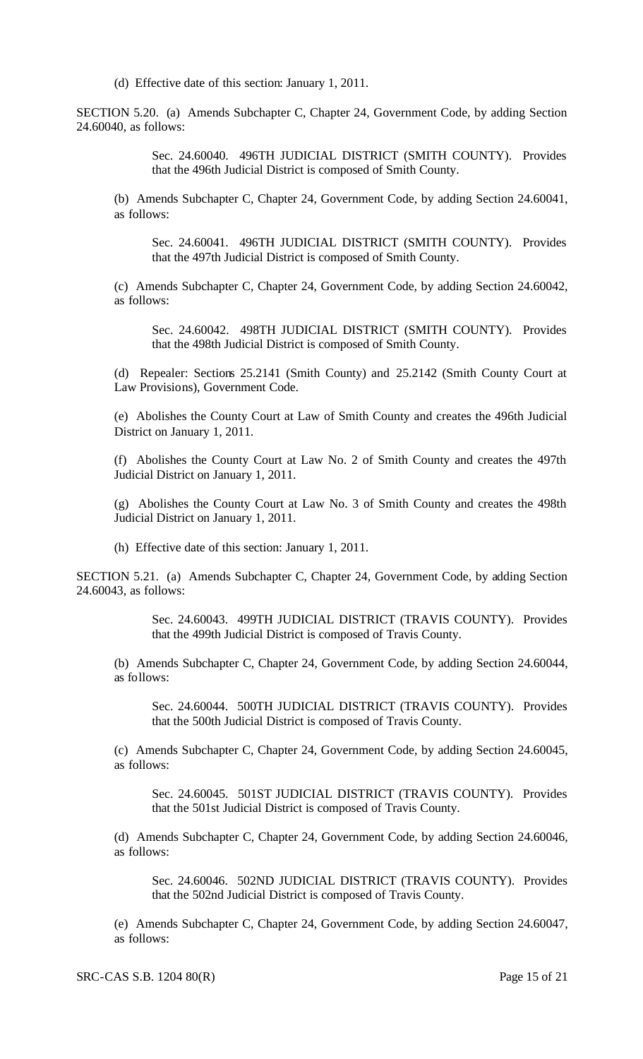(d) Effective date of this section: January 1, 2011.

SECTION 5.20. (a) Amends Subchapter C, Chapter 24, Government Code, by adding Section 24.60040, as follows:

> Sec. 24.60040. 496TH JUDICIAL DISTRICT (SMITH COUNTY). Provides that the 496th Judicial District is composed of Smith County.

(b) Amends Subchapter C, Chapter 24, Government Code, by adding Section 24.60041, as follows:

Sec. 24.60041. 496TH JUDICIAL DISTRICT (SMITH COUNTY). Provides that the 497th Judicial District is composed of Smith County.

(c) Amends Subchapter C, Chapter 24, Government Code, by adding Section 24.60042, as follows:

Sec. 24.60042. 498TH JUDICIAL DISTRICT (SMITH COUNTY). Provides that the 498th Judicial District is composed of Smith County.

(d) Repealer: Sections 25.2141 (Smith County) and 25.2142 (Smith County Court at Law Provisions), Government Code.

(e) Abolishes the County Court at Law of Smith County and creates the 496th Judicial District on January 1, 2011.

(f) Abolishes the County Court at Law No. 2 of Smith County and creates the 497th Judicial District on January 1, 2011.

(g) Abolishes the County Court at Law No. 3 of Smith County and creates the 498th Judicial District on January 1, 2011.

(h) Effective date of this section: January 1, 2011.

SECTION 5.21. (a) Amends Subchapter C, Chapter 24, Government Code, by adding Section 24.60043, as follows:

> Sec. 24.60043. 499TH JUDICIAL DISTRICT (TRAVIS COUNTY). Provides that the 499th Judicial District is composed of Travis County.

(b) Amends Subchapter C, Chapter 24, Government Code, by adding Section 24.60044, as follows:

Sec. 24.60044. 500TH JUDICIAL DISTRICT (TRAVIS COUNTY). Provides that the 500th Judicial District is composed of Travis County.

(c) Amends Subchapter C, Chapter 24, Government Code, by adding Section 24.60045, as follows:

Sec. 24.60045. 501ST JUDICIAL DISTRICT (TRAVIS COUNTY). Provides that the 501st Judicial District is composed of Travis County.

(d) Amends Subchapter C, Chapter 24, Government Code, by adding Section 24.60046, as follows:

Sec. 24.60046. 502ND JUDICIAL DISTRICT (TRAVIS COUNTY). Provides that the 502nd Judicial District is composed of Travis County.

(e) Amends Subchapter C, Chapter 24, Government Code, by adding Section 24.60047, as follows: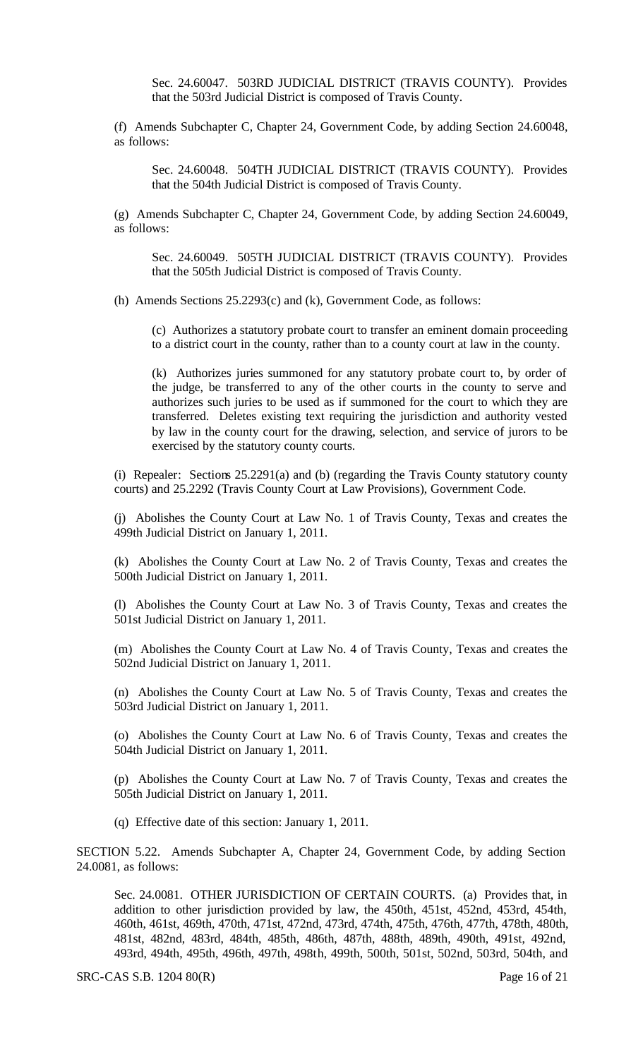Sec. 24.60047. 503RD JUDICIAL DISTRICT (TRAVIS COUNTY). Provides that the 503rd Judicial District is composed of Travis County.

(f) Amends Subchapter C, Chapter 24, Government Code, by adding Section 24.60048, as follows:

Sec. 24.60048. 504TH JUDICIAL DISTRICT (TRAVIS COUNTY). Provides that the 504th Judicial District is composed of Travis County.

(g) Amends Subchapter C, Chapter 24, Government Code, by adding Section 24.60049, as follows:

Sec. 24.60049. 505TH JUDICIAL DISTRICT (TRAVIS COUNTY). Provides that the 505th Judicial District is composed of Travis County.

(h) Amends Sections 25.2293(c) and (k), Government Code, as follows:

(c) Authorizes a statutory probate court to transfer an eminent domain proceeding to a district court in the county, rather than to a county court at law in the county.

(k) Authorizes juries summoned for any statutory probate court to, by order of the judge, be transferred to any of the other courts in the county to serve and authorizes such juries to be used as if summoned for the court to which they are transferred. Deletes existing text requiring the jurisdiction and authority vested by law in the county court for the drawing, selection, and service of jurors to be exercised by the statutory county courts.

(i) Repealer: Sections 25.2291(a) and (b) (regarding the Travis County statutory county courts) and 25.2292 (Travis County Court at Law Provisions), Government Code.

(j) Abolishes the County Court at Law No. 1 of Travis County, Texas and creates the 499th Judicial District on January 1, 2011.

(k) Abolishes the County Court at Law No. 2 of Travis County, Texas and creates the 500th Judicial District on January 1, 2011.

(l) Abolishes the County Court at Law No. 3 of Travis County, Texas and creates the 501st Judicial District on January 1, 2011.

(m) Abolishes the County Court at Law No. 4 of Travis County, Texas and creates the 502nd Judicial District on January 1, 2011.

(n) Abolishes the County Court at Law No. 5 of Travis County, Texas and creates the 503rd Judicial District on January 1, 2011.

(o) Abolishes the County Court at Law No. 6 of Travis County, Texas and creates the 504th Judicial District on January 1, 2011.

(p) Abolishes the County Court at Law No. 7 of Travis County, Texas and creates the 505th Judicial District on January 1, 2011.

(q) Effective date of this section: January 1, 2011.

SECTION 5.22. Amends Subchapter A, Chapter 24, Government Code, by adding Section 24.0081, as follows:

Sec. 24.0081. OTHER JURISDICTION OF CERTAIN COURTS. (a) Provides that, in addition to other jurisdiction provided by law, the 450th, 451st, 452nd, 453rd, 454th, 460th, 461st, 469th, 470th, 471st, 472nd, 473rd, 474th, 475th, 476th, 477th, 478th, 480th, 481st, 482nd, 483rd, 484th, 485th, 486th, 487th, 488th, 489th, 490th, 491st, 492nd, 493rd, 494th, 495th, 496th, 497th, 498th, 499th, 500th, 501st, 502nd, 503rd, 504th, and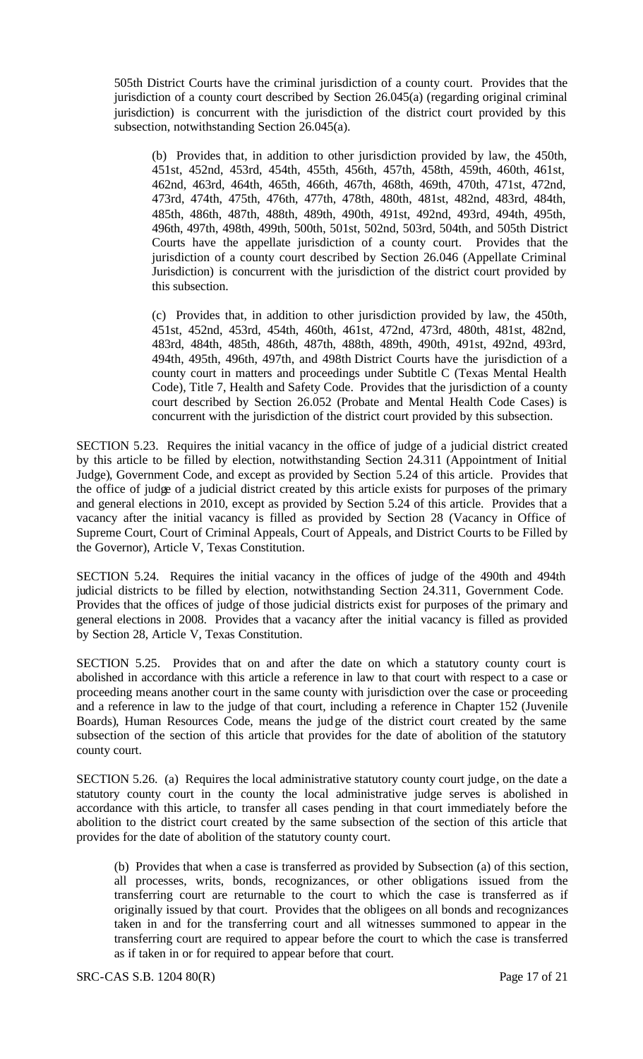505th District Courts have the criminal jurisdiction of a county court. Provides that the jurisdiction of a county court described by Section 26.045(a) (regarding original criminal jurisdiction) is concurrent with the jurisdiction of the district court provided by this subsection, notwithstanding Section 26.045(a).

(b) Provides that, in addition to other jurisdiction provided by law, the 450th, 451st, 452nd, 453rd, 454th, 455th, 456th, 457th, 458th, 459th, 460th, 461st, 462nd, 463rd, 464th, 465th, 466th, 467th, 468th, 469th, 470th, 471st, 472nd, 473rd, 474th, 475th, 476th, 477th, 478th, 480th, 481st, 482nd, 483rd, 484th, 485th, 486th, 487th, 488th, 489th, 490th, 491st, 492nd, 493rd, 494th, 495th, 496th, 497th, 498th, 499th, 500th, 501st, 502nd, 503rd, 504th, and 505th District Courts have the appellate jurisdiction of a county court. Provides that the jurisdiction of a county court described by Section 26.046 (Appellate Criminal Jurisdiction) is concurrent with the jurisdiction of the district court provided by this subsection.

(c) Provides that, in addition to other jurisdiction provided by law, the 450th, 451st, 452nd, 453rd, 454th, 460th, 461st, 472nd, 473rd, 480th, 481st, 482nd, 483rd, 484th, 485th, 486th, 487th, 488th, 489th, 490th, 491st, 492nd, 493rd, 494th, 495th, 496th, 497th, and 498th District Courts have the jurisdiction of a county court in matters and proceedings under Subtitle C (Texas Mental Health Code), Title 7, Health and Safety Code. Provides that the jurisdiction of a county court described by Section 26.052 (Probate and Mental Health Code Cases) is concurrent with the jurisdiction of the district court provided by this subsection.

SECTION 5.23. Requires the initial vacancy in the office of judge of a judicial district created by this article to be filled by election, notwithstanding Section 24.311 (Appointment of Initial Judge), Government Code, and except as provided by Section 5.24 of this article. Provides that the office of judge of a judicial district created by this article exists for purposes of the primary and general elections in 2010, except as provided by Section 5.24 of this article. Provides that a vacancy after the initial vacancy is filled as provided by Section 28 (Vacancy in Office of Supreme Court, Court of Criminal Appeals, Court of Appeals, and District Courts to be Filled by the Governor), Article V, Texas Constitution.

SECTION 5.24. Requires the initial vacancy in the offices of judge of the 490th and 494th judicial districts to be filled by election, notwithstanding Section 24.311, Government Code. Provides that the offices of judge of those judicial districts exist for purposes of the primary and general elections in 2008. Provides that a vacancy after the initial vacancy is filled as provided by Section 28, Article V, Texas Constitution.

SECTION 5.25. Provides that on and after the date on which a statutory county court is abolished in accordance with this article a reference in law to that court with respect to a case or proceeding means another court in the same county with jurisdiction over the case or proceeding and a reference in law to the judge of that court, including a reference in Chapter 152 (Juvenile Boards), Human Resources Code, means the judge of the district court created by the same subsection of the section of this article that provides for the date of abolition of the statutory county court.

SECTION 5.26. (a) Requires the local administrative statutory county court judge, on the date a statutory county court in the county the local administrative judge serves is abolished in accordance with this article, to transfer all cases pending in that court immediately before the abolition to the district court created by the same subsection of the section of this article that provides for the date of abolition of the statutory county court.

(b) Provides that when a case is transferred as provided by Subsection (a) of this section, all processes, writs, bonds, recognizances, or other obligations issued from the transferring court are returnable to the court to which the case is transferred as if originally issued by that court. Provides that the obligees on all bonds and recognizances taken in and for the transferring court and all witnesses summoned to appear in the transferring court are required to appear before the court to which the case is transferred as if taken in or for required to appear before that court.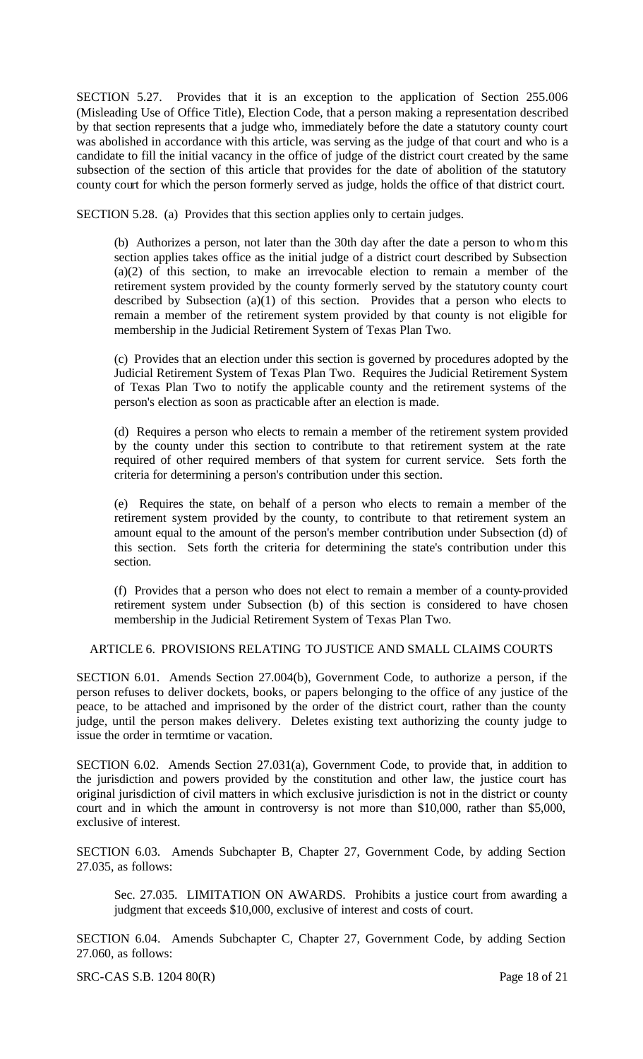SECTION 5.27. Provides that it is an exception to the application of Section 255.006 (Misleading Use of Office Title), Election Code, that a person making a representation described by that section represents that a judge who, immediately before the date a statutory county court was abolished in accordance with this article, was serving as the judge of that court and who is a candidate to fill the initial vacancy in the office of judge of the district court created by the same subsection of the section of this article that provides for the date of abolition of the statutory county court for which the person formerly served as judge, holds the office of that district court.

SECTION 5.28. (a) Provides that this section applies only to certain judges.

(b) Authorizes a person, not later than the 30th day after the date a person to whom this section applies takes office as the initial judge of a district court described by Subsection (a)(2) of this section, to make an irrevocable election to remain a member of the retirement system provided by the county formerly served by the statutory county court described by Subsection (a)(1) of this section. Provides that a person who elects to remain a member of the retirement system provided by that county is not eligible for membership in the Judicial Retirement System of Texas Plan Two.

(c) Provides that an election under this section is governed by procedures adopted by the Judicial Retirement System of Texas Plan Two. Requires the Judicial Retirement System of Texas Plan Two to notify the applicable county and the retirement systems of the person's election as soon as practicable after an election is made.

(d) Requires a person who elects to remain a member of the retirement system provided by the county under this section to contribute to that retirement system at the rate required of other required members of that system for current service. Sets forth the criteria for determining a person's contribution under this section.

(e) Requires the state, on behalf of a person who elects to remain a member of the retirement system provided by the county, to contribute to that retirement system an amount equal to the amount of the person's member contribution under Subsection (d) of this section. Sets forth the criteria for determining the state's contribution under this section.

(f) Provides that a person who does not elect to remain a member of a county-provided retirement system under Subsection (b) of this section is considered to have chosen membership in the Judicial Retirement System of Texas Plan Two.

## ARTICLE 6. PROVISIONS RELATING TO JUSTICE AND SMALL CLAIMS COURTS

SECTION 6.01. Amends Section 27.004(b), Government Code, to authorize a person, if the person refuses to deliver dockets, books, or papers belonging to the office of any justice of the peace, to be attached and imprisoned by the order of the district court, rather than the county judge, until the person makes delivery. Deletes existing text authorizing the county judge to issue the order in termtime or vacation.

SECTION 6.02. Amends Section 27.031(a), Government Code, to provide that, in addition to the jurisdiction and powers provided by the constitution and other law, the justice court has original jurisdiction of civil matters in which exclusive jurisdiction is not in the district or county court and in which the amount in controversy is not more than \$10,000, rather than \$5,000, exclusive of interest.

SECTION 6.03. Amends Subchapter B, Chapter 27, Government Code, by adding Section 27.035, as follows:

Sec. 27.035. LIMITATION ON AWARDS. Prohibits a justice court from awarding a judgment that exceeds \$10,000, exclusive of interest and costs of court.

SECTION 6.04. Amends Subchapter C, Chapter 27, Government Code, by adding Section 27.060, as follows:

SRC-CAS S.B. 1204 80(R) Page 18 of 21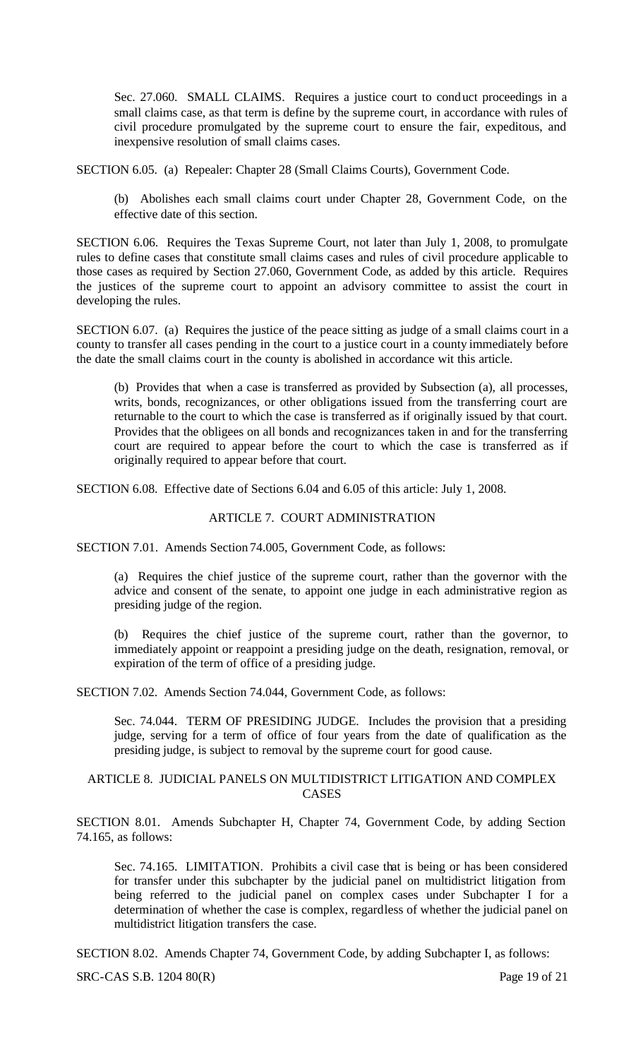Sec. 27.060. SMALL CLAIMS. Requires a justice court to conduct proceedings in a small claims case, as that term is define by the supreme court, in accordance with rules of civil procedure promulgated by the supreme court to ensure the fair, expeditous, and inexpensive resolution of small claims cases.

SECTION 6.05. (a) Repealer: Chapter 28 (Small Claims Courts), Government Code.

(b) Abolishes each small claims court under Chapter 28, Government Code, on the effective date of this section.

SECTION 6.06. Requires the Texas Supreme Court, not later than July 1, 2008, to promulgate rules to define cases that constitute small claims cases and rules of civil procedure applicable to those cases as required by Section 27.060, Government Code, as added by this article. Requires the justices of the supreme court to appoint an advisory committee to assist the court in developing the rules.

SECTION 6.07. (a) Requires the justice of the peace sitting as judge of a small claims court in a county to transfer all cases pending in the court to a justice court in a county immediately before the date the small claims court in the county is abolished in accordance wit this article.

(b) Provides that when a case is transferred as provided by Subsection (a), all processes, writs, bonds, recognizances, or other obligations issued from the transferring court are returnable to the court to which the case is transferred as if originally issued by that court. Provides that the obligees on all bonds and recognizances taken in and for the transferring court are required to appear before the court to which the case is transferred as if originally required to appear before that court.

SECTION 6.08. Effective date of Sections 6.04 and 6.05 of this article: July 1, 2008.

# ARTICLE 7. COURT ADMINISTRATION

SECTION 7.01. Amends Section 74.005, Government Code, as follows:

(a) Requires the chief justice of the supreme court, rather than the governor with the advice and consent of the senate, to appoint one judge in each administrative region as presiding judge of the region.

(b) Requires the chief justice of the supreme court, rather than the governor, to immediately appoint or reappoint a presiding judge on the death, resignation, removal, or expiration of the term of office of a presiding judge.

SECTION 7.02. Amends Section 74.044, Government Code, as follows:

Sec. 74.044. TERM OF PRESIDING JUDGE. Includes the provision that a presiding judge, serving for a term of office of four years from the date of qualification as the presiding judge, is subject to removal by the supreme court for good cause.

## ARTICLE 8. JUDICIAL PANELS ON MULTIDISTRICT LITIGATION AND COMPLEX CASES

SECTION 8.01. Amends Subchapter H, Chapter 74, Government Code, by adding Section 74.165, as follows:

Sec. 74.165. LIMITATION. Prohibits a civil case that is being or has been considered for transfer under this subchapter by the judicial panel on multidistrict litigation from being referred to the judicial panel on complex cases under Subchapter I for a determination of whether the case is complex, regardless of whether the judicial panel on multidistrict litigation transfers the case.

SECTION 8.02. Amends Chapter 74, Government Code, by adding Subchapter I, as follows:

SRC-CAS S.B. 1204 80(R) Page 19 of 21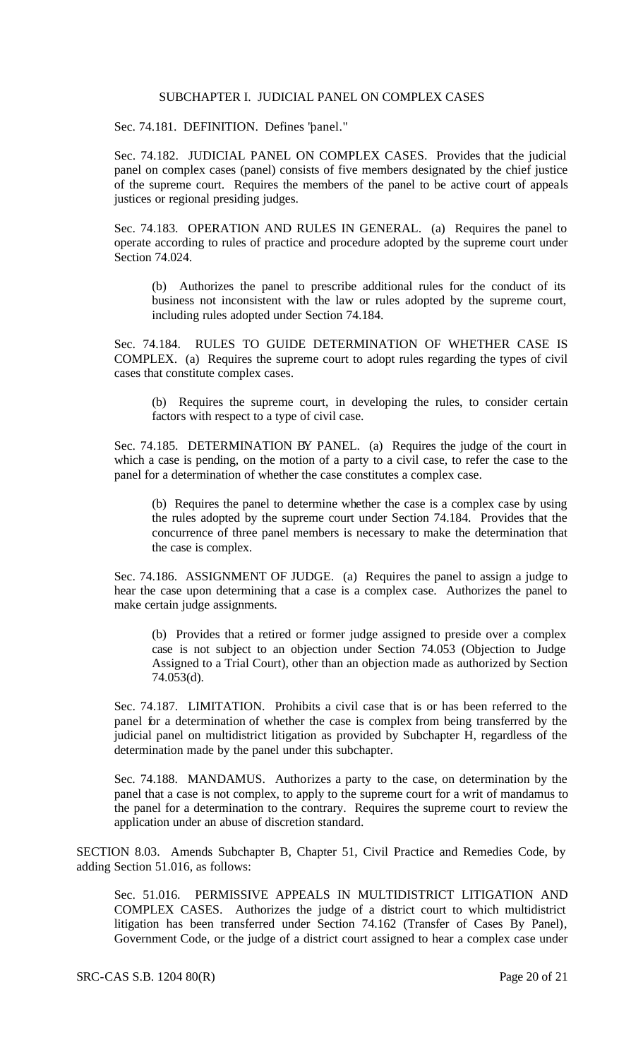# SUBCHAPTER I. JUDICIAL PANEL ON COMPLEX CASES

Sec. 74.181. DEFINITION. Defines "panel."

Sec. 74.182. JUDICIAL PANEL ON COMPLEX CASES. Provides that the judicial panel on complex cases (panel) consists of five members designated by the chief justice of the supreme court. Requires the members of the panel to be active court of appeals justices or regional presiding judges.

Sec. 74.183. OPERATION AND RULES IN GENERAL. (a) Requires the panel to operate according to rules of practice and procedure adopted by the supreme court under Section 74.024.

(b) Authorizes the panel to prescribe additional rules for the conduct of its business not inconsistent with the law or rules adopted by the supreme court, including rules adopted under Section 74.184.

Sec. 74.184. RULES TO GUIDE DETERMINATION OF WHETHER CASE IS COMPLEX. (a) Requires the supreme court to adopt rules regarding the types of civil cases that constitute complex cases.

(b) Requires the supreme court, in developing the rules, to consider certain factors with respect to a type of civil case.

Sec. 74.185. DETERMINATION BY PANEL. (a) Requires the judge of the court in which a case is pending, on the motion of a party to a civil case, to refer the case to the panel for a determination of whether the case constitutes a complex case.

(b) Requires the panel to determine whether the case is a complex case by using the rules adopted by the supreme court under Section 74.184. Provides that the concurrence of three panel members is necessary to make the determination that the case is complex.

Sec. 74.186. ASSIGNMENT OF JUDGE. (a) Requires the panel to assign a judge to hear the case upon determining that a case is a complex case. Authorizes the panel to make certain judge assignments.

(b) Provides that a retired or former judge assigned to preside over a complex case is not subject to an objection under Section 74.053 (Objection to Judge Assigned to a Trial Court), other than an objection made as authorized by Section 74.053(d).

Sec. 74.187. LIMITATION. Prohibits a civil case that is or has been referred to the panel for a determination of whether the case is complex from being transferred by the judicial panel on multidistrict litigation as provided by Subchapter H, regardless of the determination made by the panel under this subchapter.

Sec. 74.188. MANDAMUS. Authorizes a party to the case, on determination by the panel that a case is not complex, to apply to the supreme court for a writ of mandamus to the panel for a determination to the contrary. Requires the supreme court to review the application under an abuse of discretion standard.

SECTION 8.03. Amends Subchapter B, Chapter 51, Civil Practice and Remedies Code, by adding Section 51.016, as follows:

Sec. 51.016. PERMISSIVE APPEALS IN MULTIDISTRICT LITIGATION AND COMPLEX CASES. Authorizes the judge of a district court to which multidistrict litigation has been transferred under Section 74.162 (Transfer of Cases By Panel), Government Code, or the judge of a district court assigned to hear a complex case under